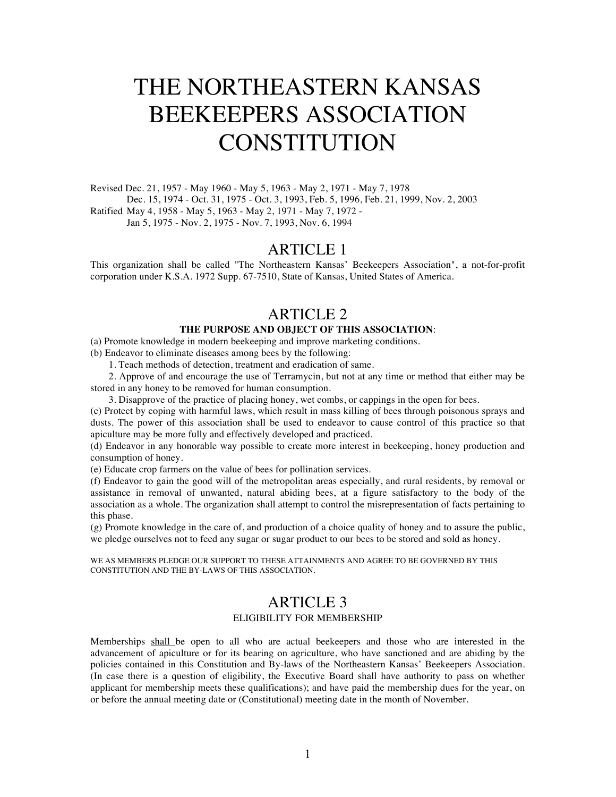# THE NORTHEASTERN KANSAS BEEKEEPERS ASSOCIATION **CONSTITUTION**

Revised Dec. 21, 1957 - May 1960 - May 5, 1963 - May 2, 1971 - May 7, 1978 Dec. 15, 1974 - Oct. 31, 1975 - Oct. 3, 1993, Feb. 5, 1996, Feb. 21, 1999, Nov. 2, 2003 Ratified May 4, 1958 - May 5, 1963 - May 2, 1971 - May 7, 1972 - Jan 5, 1975 - Nov. 2, 1975 - Nov. 7, 1993, Nov. 6, 1994

#### ARTICLE 1

This organization shall be called "The Northeastern Kansas' Beekeepers Association", a not-for-profit corporation under K.S.A. 1972 Supp. 67-7510, State of Kansas, United States of America.

# ARTICLE 2

#### **THE PURPOSE AND OBJECT OF THIS ASSOCIATION**:

(a) Promote knowledge in modern beekeeping and improve marketing conditions.

(b) Endeavor to eliminate diseases among bees by the following:

1. Teach methods of detection, treatment and eradication of same.

2. Approve of and encourage the use of Terramycin, but not at any time or method that either may be stored in any honey to be removed for human consumption.

3. Disapprove of the practice of placing honey, wet combs, or cappings in the open for bees.

(c) Protect by coping with harmful laws, which result in mass killing of bees through poisonous sprays and dusts. The power of this association shall be used to endeavor to cause control of this practice so that apiculture may be more fully and effectively developed and practiced.

(d) Endeavor in any honorable way possible to create more interest in beekeeping, honey production and consumption of honey.

(e) Educate crop farmers on the value of bees for pollination services.

(f) Endeavor to gain the good will of the metropolitan areas especially, and rural residents, by removal or assistance in removal of unwanted, natural abiding bees, at a figure satisfactory to the body of the association as a whole. The organization shall attempt to control the misrepresentation of facts pertaining to this phase.

(g) Promote knowledge in the care of, and production of a choice quality of honey and to assure the public, we pledge ourselves not to feed any sugar or sugar product to our bees to be stored and sold as honey.

WE AS MEMBERS PLEDGE OUR SUPPORT TO THESE ATTAINMENTS AND AGREE TO BE GOVERNED BY THIS CONSTITUTION AND THE BY-LAWS OF THIS ASSOCIATION.

#### ARTICLE 3 ELIGIBILITY FOR MEMBERSHIP

Memberships shall be open to all who are actual beekeepers and those who are interested in the advancement of apiculture or for its bearing on agriculture, who have sanctioned and are abiding by the policies contained in this Constitution and By-laws of the Northeastern Kansas' Beekeepers Association. (In case there is a question of eligibility, the Executive Board shall have authority to pass on whether applicant for membership meets these qualifications); and have paid the membership dues for the year, on or before the annual meeting date or (Constitutional) meeting date in the month of November.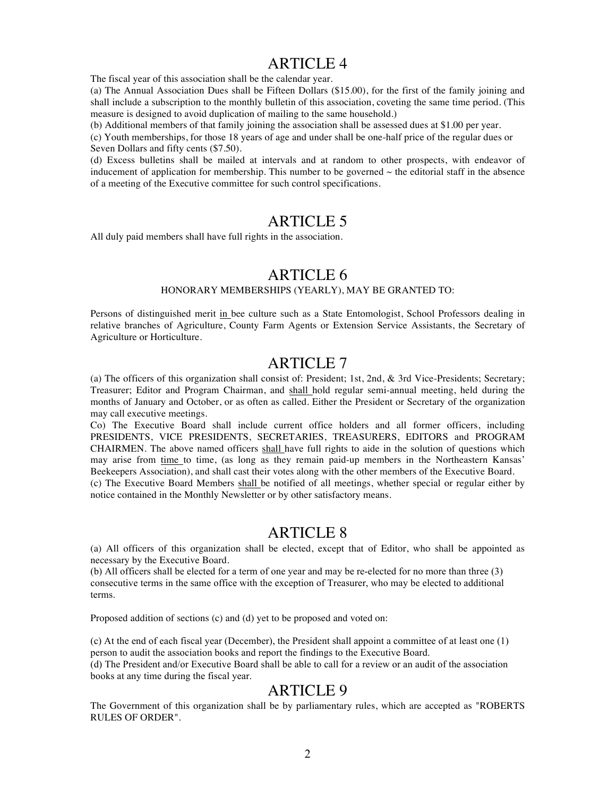#### ARTICLE 4

The fiscal year of this association shall be the calendar year.

(a) The Annual Association Dues shall be Fifteen Dollars (\$15.00), for the first of the family joining and shall include a subscription to the monthly bulletin of this association, coveting the same time period. (This measure is designed to avoid duplication of mailing to the same household.)

(b) Additional members of that family joining the association shall be assessed dues at \$1.00 per year.

(c) Youth memberships, for those 18 years of age and under shall be one-half price of the regular dues or Seven Dollars and fifty cents (\$7.50).

(d) Excess bulletins shall be mailed at intervals and at random to other prospects, with endeavor of inducement of application for membership. This number to be governed  $\sim$  the editorial staff in the absence of a meeting of the Executive committee for such control specifications.

# ARTICLE 5

All duly paid members shall have full rights in the association.

### ARTICLE 6

#### HONORARY MEMBERSHIPS (YEARLY), MAY BE GRANTED TO:

Persons of distinguished merit in bee culture such as a State Entomologist, School Professors dealing in relative branches of Agriculture, County Farm Agents or Extension Service Assistants, the Secretary of Agriculture or Horticulture.

# ARTICLE 7

(a) The officers of this organization shall consist of: President; 1st, 2nd, & 3rd Vice-Presidents; Secretary; Treasurer; Editor and Program Chairman, and shall hold regular semi-annual meeting, held during the months of January and October, or as often as called. Either the President or Secretary of the organization may call executive meetings.

Co) The Executive Board shall include current office holders and all former officers, including PRESIDENTS, VICE PRESIDENTS, SECRETARIES, TREASURERS, EDITORS and PROGRAM CHAIRMEN. The above named officers shall have full rights to aide in the solution of questions which may arise from time to time, (as long as they remain paid-up members in the Northeastern Kansas' Beekeepers Association), and shall cast their votes along with the other members of the Executive Board. (c) The Executive Board Members shall be notified of all meetings, whether special or regular either by notice contained in the Monthly Newsletter or by other satisfactory means.

#### ARTICLE 8

(a) All officers of this organization shall be elected, except that of Editor, who shall be appointed as necessary by the Executive Board.

(b) All officers shall be elected for a term of one year and may be re-elected for no more than three (3) consecutive terms in the same office with the exception of Treasurer, who may be elected to additional terms.

Proposed addition of sections (c) and (d) yet to be proposed and voted on:

(c) At the end of each fiscal year (December), the President shall appoint a committee of at least one (1) person to audit the association books and report the findings to the Executive Board.

(d) The President and/or Executive Board shall be able to call for a review or an audit of the association books at any time during the fiscal year.

#### ARTICLE 9

The Government of this organization shall be by parliamentary rules, which are accepted as "ROBERTS RULES OF ORDER".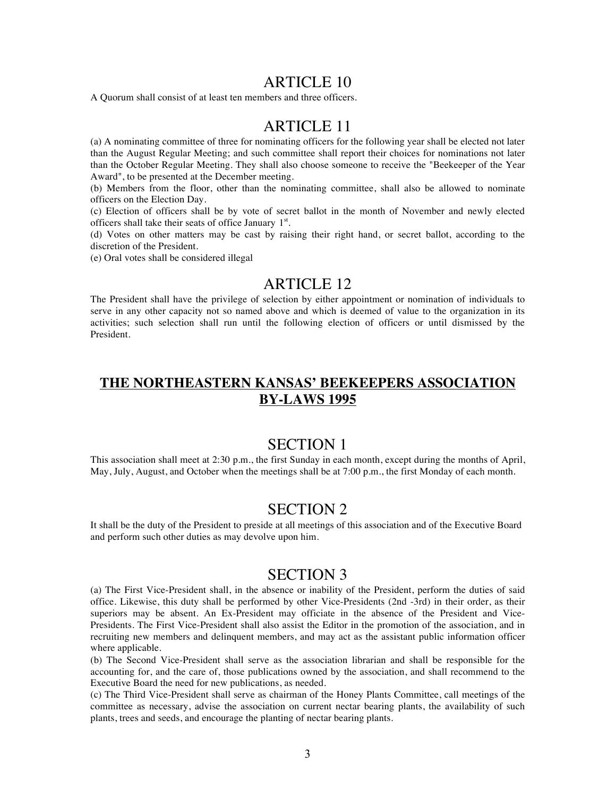#### ARTICLE 10

A Quorum shall consist of at least ten members and three officers.

## ARTICLE 11

(a) A nominating committee of three for nominating officers for the following year shall be elected not later than the August Regular Meeting; and such committee shall report their choices for nominations not later than the October Regular Meeting. They shall also choose someone to receive the "Beekeeper of the Year Award", to be presented at the December meeting.

(b) Members from the floor, other than the nominating committee, shall also be allowed to nominate officers on the Election Day.

(c) Election of officers shall be by vote of secret ballot in the month of November and newly elected officers shall take their seats of office January 1st.

(d) Votes on other matters may be cast by raising their right hand, or secret ballot, according to the discretion of the President.

(e) Oral votes shall be considered illegal

## ARTICLE 12

The President shall have the privilege of selection by either appointment or nomination of individuals to serve in any other capacity not so named above and which is deemed of value to the organization in its activities; such selection shall run until the following election of officers or until dismissed by the President.

## **THE NORTHEASTERN KANSAS' BEEKEEPERS ASSOCIATION BY-LAWS 1995**

## SECTION 1

This association shall meet at 2:30 p.m., the first Sunday in each month, except during the months of April, May, July, August, and October when the meetings shall be at 7:00 p.m., the first Monday of each month.

# SECTION 2

It shall be the duty of the President to preside at all meetings of this association and of the Executive Board and perform such other duties as may devolve upon him.

#### SECTION 3

(a) The First Vice-President shall, in the absence or inability of the President, perform the duties of said office. Likewise, this duty shall be performed by other Vice-Presidents (2nd -3rd) in their order, as their superiors may be absent. An Ex-President may officiate in the absence of the President and Vice-Presidents. The First Vice-President shall also assist the Editor in the promotion of the association, and in recruiting new members and delinquent members, and may act as the assistant public information officer where applicable.

(b) The Second Vice-President shall serve as the association librarian and shall be responsible for the accounting for, and the care of, those publications owned by the association, and shall recommend to the Executive Board the need for new publications, as needed.

(c) The Third Vice-President shall serve as chairman of the Honey Plants Committee, call meetings of the committee as necessary, advise the association on current nectar bearing plants, the availability of such plants, trees and seeds, and encourage the planting of nectar bearing plants.